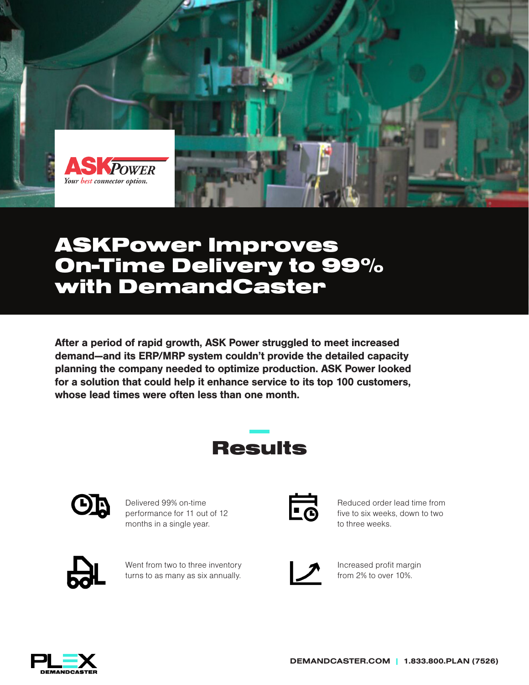

## ASKPower Improves On-Time Delivery to 99% with DemandCaster

After a period of rapid growth, ASK Power struggled to meet increased demand—and its ERP/MRP system couldn't provide the detailed capacity planning the company needed to optimize production. ASK Power looked for a solution that could help it enhance service to its top 100 customers, whose lead times were often less than one month.

# Results



Delivered 99% on-time performance for 11 out of 12 months in a single year.

Went from two to three inventory turns to as many as six annually.



Reduced order lead time from five to six weeks, down to two to three weeks.



Increased profit margin from 2% to over 10%.

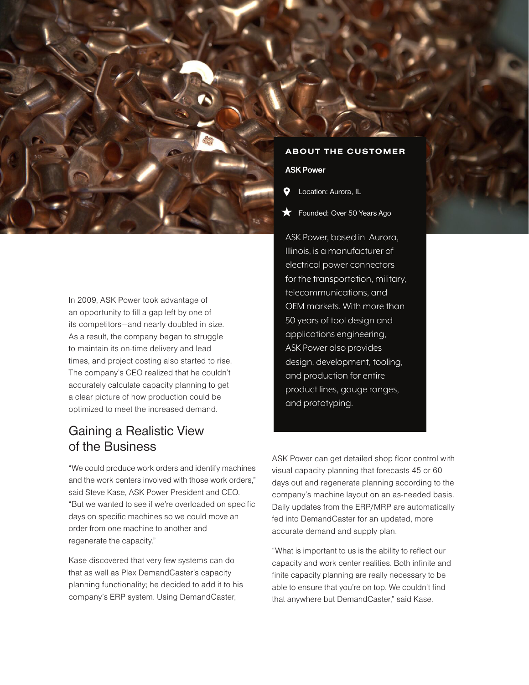

In 2009, ASK Power took advantage of an opportunity to fill a gap left by one of its competitors—and nearly doubled in size. As a result, the company began to struggle to maintain its on-time delivery and lead times, and project costing also started to rise. The company's CEO realized that he couldn't accurately calculate capacity planning to get a clear picture of how production could be optimized to meet the increased demand.

## Gaining a Realistic View of the Business

"We could produce work orders and identify machines and the work centers involved with those work orders," said Steve Kase, ASK Power President and CEO. "But we wanted to see if we're overloaded on specific days on specific machines so we could move an order from one machine to another and regenerate the capacity."

Kase discovered that very few systems can do that as well as Plex DemandCaster's capacity planning functionality; he decided to add it to his company's ERP system. Using DemandCaster,

#### ABOUT THE CUSTOMER

#### ASK Power

- Location: Aurora, IL
- Founded: Over 50 Years Ago

ASK Power, based in Aurora, Illinois, is a manufacturer of electrical power connectors for the transportation, military, telecommunications, and OEM markets. With more than 50 years of tool design and applications engineering, ASK Power also provides design, development, tooling, and production for entire product lines, gauge ranges, and prototyping.

ASK Power can get detailed shop floor control with visual capacity planning that forecasts 45 or 60 days out and regenerate planning according to the company's machine layout on an as-needed basis. Daily updates from the ERP/MRP are automatically fed into DemandCaster for an updated, more accurate demand and supply plan.

"What is important to us is the ability to reflect our capacity and work center realities. Both infinite and finite capacity planning are really necessary to be able to ensure that you're on top. We couldn't find that anywhere but DemandCaster," said Kase.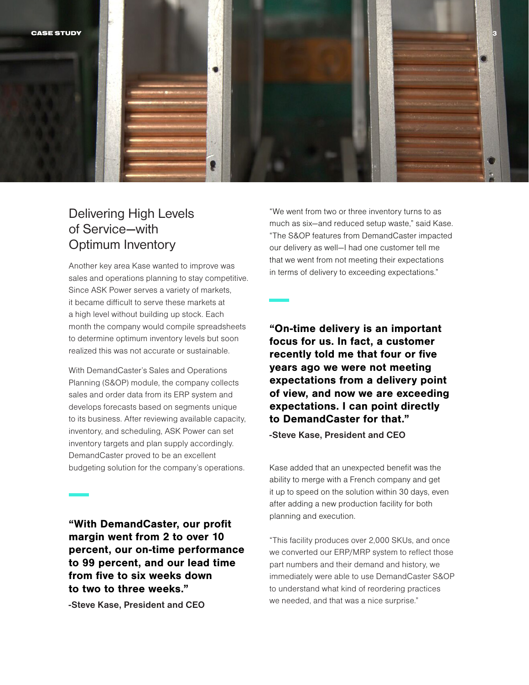![](_page_2_Picture_0.jpeg)

## Delivering High Levels of Service—with Optimum Inventory

Another key area Kase wanted to improve was sales and operations planning to stay competitive. Since ASK Power serves a variety of markets, it became difficult to serve these markets at a high level without building up stock. Each month the company would compile spreadsheets to determine optimum inventory levels but soon realized this was not accurate or sustainable.

With DemandCaster's Sales and Operations Planning (S&OP) module, the company collects sales and order data from its ERP system and develops forecasts based on segments unique to its business. After reviewing available capacity, inventory, and scheduling, ASK Power can set inventory targets and plan supply accordingly. DemandCaster proved to be an excellent budgeting solution for the company's operations.

"With DemandCaster, our profit margin went from 2 to over 10 percent, our on-time performance to 99 percent, and our lead time from five to six weeks down to two to three weeks."

-Steve Kase, President and CEO

"We went from two or three inventory turns to as much as six—and reduced setup waste," said Kase. "The S&OP features from DemandCaster impacted our delivery as well—I had one customer tell me that we went from not meeting their expectations in terms of delivery to exceeding expectations."

"On-time delivery is an important focus for us. In fact, a customer recently told me that four or five years ago we were not meeting expectations from a delivery point of view, and now we are exceeding expectations. I can point directly to DemandCaster for that."

-Steve Kase, President and CEO

Kase added that an unexpected benefit was the ability to merge with a French company and get it up to speed on the solution within 30 days, even after adding a new production facility for both planning and execution.

"This facility produces over 2,000 SKUs, and once we converted our ERP/MRP system to reflect those part numbers and their demand and history, we immediately were able to use DemandCaster S&OP to understand what kind of reordering practices we needed, and that was a nice surprise."